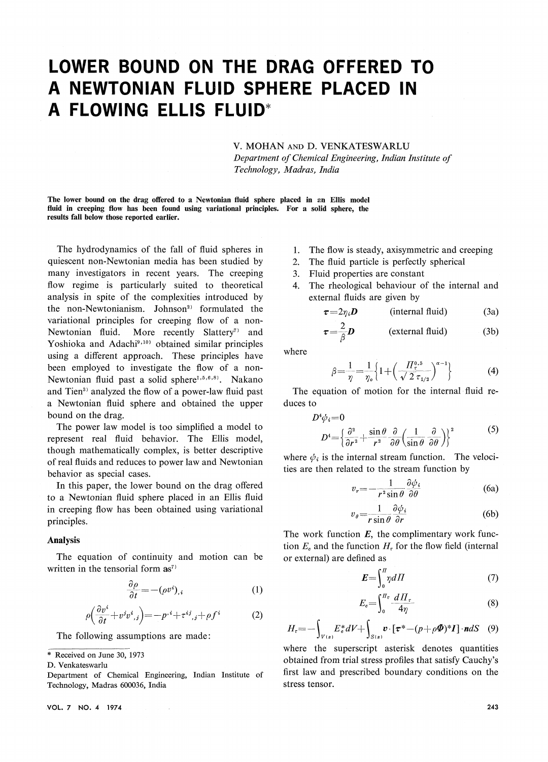# LOWER BOUND ON THE DRAG OFFERED TO A NEWTONIAN FLUID SPHERE PLACED IN A FLOWING ELLIS FLUID'

V. MOHAN and D. VENKATESWARLU

Department of Chemical Engineering, Indian Institute of Technology, Madras, India

The lower bound on the drag offered to a Newtonian fluid sphere placed in an Ellis model fluid in creeping flow has been found using variational principles. For a solid sphere, the results fall below those reported earlier.

The hydrodynamics of the fall of fluid spheres in quiescent non-Newtonian media has been studied by many investigators in recent years. The creeping flow regime is particularly suited to theoretical analysis in spite of the complexities introduced by the non-Newtonianism. Johnson<sup>2)</sup> formulated the variational principles for creeping flow of a non-Newtonian fluid. More recently Slattery<sup>7)</sup> and Yoshioka and Adachi<sup>9,10</sup> obtained similar principles using a different approach. These principles have been employed to investigate the flow of a non-Newtonian fluid past a solid sphere<sup>1,5,6,8)</sup>. Nakano and Tien<sup>3)</sup> analyzed the flow of a power-law fluid past a Newtonian fluid sphere and obtained the upper bound on the drag.

The power law model is too simplified a model to represent real fluid behavior. The Ellis model, represent real fluid behavior. The Ellis model, though mathematically complex, is better descript of real fluids and reduces to power law and Newtonian behavior as special cases.

In this paper, the lower bound on the drag offered to a Newtonian fluid sphere placed in an Ellis fluid in creeping flow has been obtained using variational principles.

#### Analysis

The equation of continuity and motion can be written in the tensorial form  $as^7$ 

$$
\frac{\partial \rho}{\partial t} = -(\rho v^i)_{,i} \tag{1}
$$

$$
\rho \left( \frac{\partial v^i}{\partial t} + v^j v^i \right) = -p^{i} + \tau^{ij}{}_{,i} + \rho f^i \tag{2}
$$

The following assumptions are made:

Department of Chemical Engineering, Indian Institute of Technology, Madras 600036, India

- 1. The flow is steady, axisymmetric and creeping<br>2. The fluid particle is perfectly spherical
- The fluid particle is perfectly spherical
- 3. Fluid properties are constant
- 4. The rheological behaviour of the internal and external fluids are given by

$$
\boldsymbol{\tau} = 2\eta_i \boldsymbol{D} \qquad \text{(internal fluid)} \tag{3a}
$$

$$
\boldsymbol{\tau} = \frac{2}{\beta} \boldsymbol{D} \qquad \text{(external fluid)} \tag{3b}
$$

where

$$
\beta = \frac{1}{\eta} = \frac{1}{\eta_o} \left\{ 1 + \left( \frac{\prod_{\zeta}^{0.5}}{\sqrt{2} \tau_{1/2}} \right)^{\alpha - 1} \right\} \tag{4}
$$

The equation of motion for the internal fluid reduces to

$$
D^4 \phi_i = 0
$$
  

$$
D^4 = \left\{ \frac{\partial^2}{\partial r^2} + \frac{\sin \theta}{r^2} \frac{\partial}{\partial \theta} \left( \frac{1}{\sin \theta} \frac{\partial}{\partial \theta} \right) \right\}^2
$$
 (5)

where  $\phi_i$  is the internal stream function. The velocities are then related to the stream function by

$$
v_r = -\frac{1}{r^2 \sin \theta} \frac{\partial \phi_i}{\partial \theta} \tag{6a}
$$

$$
v_{\theta} = \frac{1}{r \sin \theta} \frac{\partial \phi_i}{\partial r}
$$
 (6b)

The work function  $E$ , the complimentary work function  $E_e$  and the function  $H<sub>r</sub>$  for the flow field (internal or external) are defined as

$$
E = \int_0^{\pi} \eta d\Pi \tag{7}
$$

$$
E_c = \int_0^{H_\tau} \frac{dH_\tau}{4\eta} \tag{8}
$$

$$
H_{\tau} = -\int_{V(s)} E_{\sigma}^* dV + \int_{S(s)} \boldsymbol{v} \cdot [\boldsymbol{\tau}^* - (p + \rho \boldsymbol{\Phi})^* \boldsymbol{I}] \cdot \boldsymbol{n} dS \quad (9)
$$

where the superscript asterisk denotes quantities obtained from trial stress profiles that satisfy Cauchy first law and prescribed boundary conditions on the stress tensor.

<sup>\*</sup> Received on June 30, <sup>1973</sup>

D. Venkateswarlu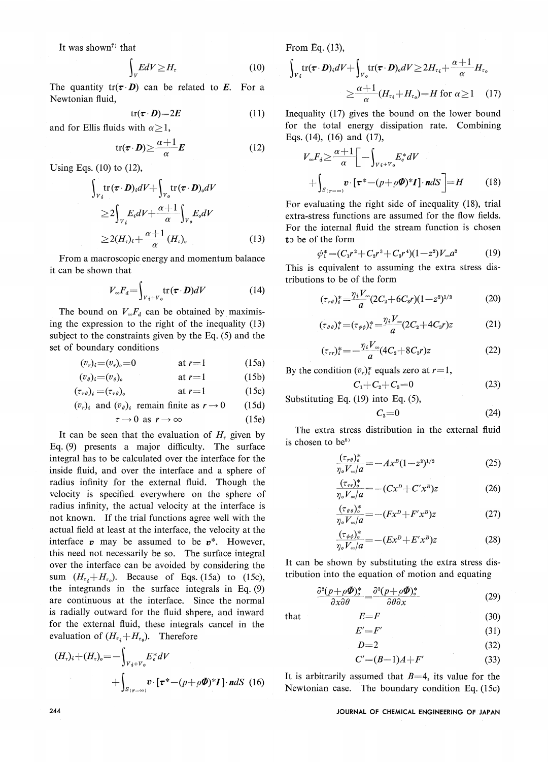It was shown?) that

$$
\int_{V} E dV \ge H_{\tau} \tag{10}
$$

The quantity  $tr(\tau \cdot D)$  can be related to E. For a Newtonian fluid,

$$
\text{tr}(\boldsymbol{\tau} \cdot \boldsymbol{D}) = 2\boldsymbol{E} \tag{11}
$$

and for Ellis fluids with  $\alpha \geq 1$ ,

$$
\operatorname{tr}(\boldsymbol{\tau} \cdot \boldsymbol{D}) \ge \frac{\alpha + 1}{\alpha} \boldsymbol{E} \tag{12}
$$

Using Eqs. (10) to (12),

$$
\int_{V_i} tr(\boldsymbol{\tau} \cdot \boldsymbol{D})_i dV + \int_{V_o} tr(\boldsymbol{\tau} \cdot \boldsymbol{D})_o dV
$$
\n
$$
\geq 2 \int_{V_i} E_i dV + \frac{\alpha + 1}{\alpha} \int_{V_o} E_o dV
$$
\n
$$
\geq 2(H_i)_i + \frac{\alpha + 1}{\alpha} (H_i)_o \tag{13}
$$

From a macroscopic energy and momentum balance it can be shown that

$$
V_{\infty}F_d = \int_{V_i + V_o} \text{tr}(\boldsymbol{\tau} \cdot \boldsymbol{D}) dV \qquad (14)
$$

The bound on  $V_{\infty}F_d$  can be obtained by maximising the expression to the right of the inequality (13) subject to the constraints given by the Eq. (5) and the set of boundary conditions

$$
(v_r)_i = (v_r)_o = 0 \t\t at r = 1 \t\t (15a)
$$

$$
(v_{\theta})_i = (v_{\theta})_o \qquad \qquad \text{at } r = 1 \qquad (15b)
$$

$$
(\tau_{r\theta})_i = (\tau_{r\theta})_o \qquad \qquad \text{at } r = 1 \qquad (15c)
$$

$$
(v_r)_i
$$
 and  $(v_\theta)_i$  remain finite as  $r \to 0$  (15d)

 $\tau \rightarrow 0$  as  $r \rightarrow \infty$  (15e)

It can be seen that the evaluation of  $H<sub>r</sub>$  given by Eq. (9) presents a major difficulty. The surface integral has to be calculated over the interface for the inside fluid, and over the interface and a sphere of radius infinity for the external fluid. Though the velocity is specified everywhere on the sphere of radius infinity, the actual velocity at the interface is not known. If the trial functions agree well with the actual field at least at the interface, the velocity at the interface  $v$  may be assumed to be  $v^*$ . However, this need not necessarily be so. The surface integral over the interface can be avoided by considering the sum  $(H_{\tau_i}+H_{\tau_0})$ . Because of Eqs. (15a) to (15c), the integrands in the surface integrals in Eq. (9) are continuous at the interface. Since the normal is radially outward for the fluid shpere, and inward for the external fluid, these integrals cancel in the evaluation of  $(H_{\tau_i}+H_{\tau_0})$ . Therefore It can be seen that the external fluid the external fluid the containers distribution of  $H$ , given by  $\frac{1}{2}$  (14)<br>  $E_4$ , (9) presents a noi be calculated over the interface and a sphere of  $\frac{(\tau_r)^2}{\tau_r/\omega t^2} = -Ax^a(1-z$ R was econv<sup>-1</sup>ring<br>  $\int_C B(x) \, dx$ <br>  $\int_C B(x) \, dx$ <br>  $\int_C B(x) \, dx$ <br>  $\int_C B(x) \, dx$ <br>  $\int_C B(x) \, dx$ <br>  $\int_C B(x) \, dx$ <br>  $\int_C B(x) \, dx$ <br>  $\int_C B(x) \, dx$ <br>  $\int_C B(x) \, dx$ <br>  $\int_C B(x) \, dx$ <br>  $\int_C B(x) \, dx$ <br>  $\int_C B(x) \, dx$ <br>  $\int_C B(x) \, dx$ <br>  $\int_C B(x) \, dx$ <br>  $\int_C B(x) \, dx$ <br>  $\int_C B$ 

$$
(H_{\tau})_i + (H_{\tau})_o = -\int_{V_i + V_o} E_{\sigma}^* dV
$$
  
+ 
$$
\int_{S_{\{\tau = \infty\}}} v \cdot [\tau^* - (p + \rho \Phi)^* I] \cdot n dS
$$
 (16)

From Eq. (13),

$$
\int_{V_i} \text{tr}(\boldsymbol{\tau} \cdot \boldsymbol{D})_i dV + \int_{V_o} \text{tr}(\boldsymbol{\tau} \cdot \boldsymbol{D})_o dV \ge 2H_{\tau_i} + \frac{\alpha + 1}{\alpha} H_{\tau_o}
$$
\n
$$
\ge \frac{\alpha + 1}{\alpha} (H_{\tau_i} + H_{\tau_o}) = H \text{ for } \alpha \ge 1 \quad (17)
$$

Inequality (17) gives the bound on the lower bound for the total energy dissipation rate. Combining Eqs. (14), (16) and (17),

From Eq. (13),  
\n
$$
\int_{y_{s}} tr(\tau \cdot \mathbf{D})_{s} dV + \int_{y_{s}} tr(\tau \cdot \mathbf{D})_{s} dV \geq 2H_{z_{t}} + \frac{\alpha + 1}{\alpha} H_{z_{s}}
$$
\n
$$
\geq \frac{\alpha + 1}{\alpha} (H_{z_{t}} + H_{z_{0}}) = H \text{ for } \alpha \geq 1 \quad (17)
$$
\nInequality (17) gives the bound on the lower bound  
\nfor the total energy dissipation rate. Combining  
\nEqs. (14), (16) and (17),  
\n
$$
V_{\infty}F_{d} \geq \frac{\alpha + 1}{\alpha} \left[ - \int_{y_{s} + y_{s}} E_{s}^{*} dV + \int_{y_{s} - y_{s}} \int_{z} E_{s}^{*} dV + \int_{y_{s} - y_{s}} \int_{z} e^{x_{s}} - (p + \rho \Phi)^{*} I \cdot \mathbf{n} dS \right] = H \quad (18)
$$
\nFor evaluating the right side of inequality (18), trial  
\nextra-stress functions are assumed for the flow fields.  
\nFor the internal fluid the stream function is chosen  
\nto be of the form  
\n
$$
\phi_{1}^{*} = (C_{1}r^{2} + C_{2}r^{3} + C_{3}r^{4})(1 - z^{2})V_{\infty} a^{1} \quad (19)
$$
\nThis is equivalent to assuming the extra stress dis-  
\ntributions to be of the form  
\n
$$
(\tau_{s0})_{t}^{*} = (\tau_{s0})_{t}^{*} = \frac{\eta_{1}V_{\infty}}{\alpha} (2C_{2} + 6C_{s}r)(1 - z^{2})^{1/2} \quad (20)
$$
\n
$$
(\tau_{s0})_{t}^{*} = (\tau_{s0})_{t}^{*} = \frac{\eta_{1}V_{\infty}}{\alpha} (2C_{4} + 8C_{s}r)z \quad (21)
$$
\nBy the condition  $(v_{s})_{t}^{*} \text{ equals zero at } r = 1$ ,  
\n
$$
C_{1} + C_{2} + C_{3} = 0 \quad (23)
$$
\nSubstituting Eq. (19) into Eq. (5),  
\n
$$
\frac{(\tau_{s0})_{s}^{*}}{\eta_{s}V_{\infty}/a} = -A x^{n} (1
$$

For evaluating the right side of inequality (18), trial extra-stress functions are assumed for the flow fields. For the internal fluid the stream function is chosen to be of the form

$$
\phi_1^* = (C_1r^2 + C_2r^3 + C_3r^4)(1 - z^2)V_{\infty}a^2 \tag{19}
$$

This is equivalent to assuming the extra stress distributions to be of the form

$$
(\tau_{r\theta})_i^* = \frac{\eta_i V_{\infty}}{a} (2C_2 + 6C_3 r)(1 - z^2)^{1/2}
$$
 (20)

$$
(\tau_{\theta\theta})_i^* = (\tau_{\phi\phi})_i^* = \frac{\eta_i V_{\infty}}{a} (2C_2 + 4C_3 r)z \tag{21}
$$

$$
(\tau_{rr})^*_{i} = -\frac{\eta_i V_{\infty}}{a} (4C_2 + 8C_3 r) z \tag{22}
$$

By the condition  $(v_r)^*$  equals zero at  $r=1$ ,

$$
C_1 + C_2 + C_3 = 0 \tag{23}
$$

Substituting Eq. (19) into Eq. (5),

$$
C_2=0 \tag{24}
$$

$$
\frac{(\tau_{r\theta})_o^*}{\gamma_o V_{\infty}/a} = -Ax^B(1-z^2)^{1/2} \tag{25}
$$

$$
\frac{(\tau_{rr})^*_{o}}{\eta_o V_{\infty}/a} = -(Cx^p + C'x^p)z \tag{26}
$$

$$
\frac{(\tau_{\theta\theta})_o^*}{\eta_o V_{\infty}/a} = -(Fx^p + F'x^B)z\tag{27}
$$

$$
\frac{(\tau_{\phi\phi})_o^*}{\eta_o V_{\infty}/a} = -(Ex^p + E'x^p)z\tag{28}
$$

It can be shown by substituting the extra stress distribution into the equation of motion and equating

$$
\frac{\partial^2 (p + \rho \Phi)^*_{o}}{\partial x \partial \theta} = \frac{\partial^2 (p + \rho \Phi)^*_{o}}{\partial \theta \partial x}
$$
(29)

that 
$$
E=F
$$
 (30)

$$
E'=F'
$$
 (31)

$$
D=2 \tag{32}
$$

$$
C' = (B-1)A + F'
$$
\n<sup>(33)</sup>

It is arbitrarily assumed that  $B=4$ , its value for the Newtonian case. The boundary condition Eq. (15c)

## 244 JOURNAL OF CHEMICAL ENGINEERING OF JAPAN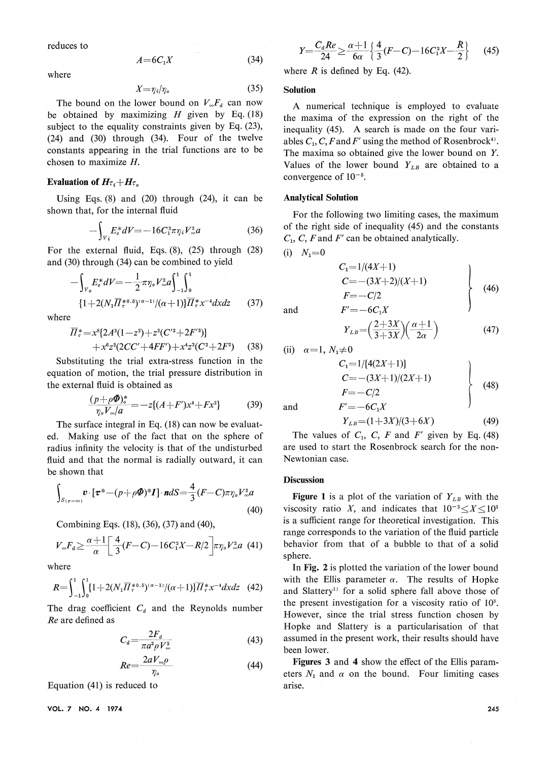reduces to

$$
A=6C_1X\tag{34}
$$

where

$$
\mathbf{y} = (1, 0, 0)
$$

$$
X = \eta_i / \eta_o \tag{33}
$$

The bound on the lower bound on  $V_{\infty}F_d$  can now be obtained by maximizing  $H$  given by Eq. (18) subject to the equality constraints given by Eq. (23), (24) and (30) through (34). Four of the twelve constants appearing in the trial functions are to be chosen to maximize  $H$ .

## Evaluation of  $H_{\tau_i}+H_{\tau_o}$

Using Eqs. (8) and (20) through (24), it can be shown that, for the internal fluid

$$
-\int_{V_i} E^*_c dV = -16C_1^2 \pi \eta_i V_\infty^2 a \tag{36}
$$

For the external fluid, Eqs. (8), (25) through (28) and (30) through (34) can be combined to yield

$$
-\int_{V_o} E_e^* dV = -\frac{1}{2} \pi \eta_o V_{\infty}^2 d \Big|_{-1}^1 \Big|_0^1
$$
  

$$
\{1 + 2(N_1 \overline{H}_e^{*0.5})^{(\alpha - 1)}/(\alpha + 1)\} \overline{H}_e^* x^{-4} dx dz \qquad (37)
$$

where

$$
\begin{array}{ccc}\n\overline{H}_r^*=& x^8[2A^2(1-z^2)+z^2(C'^2+2F'^2)]&\phantom{F}_{LL}=\left(\frac{z_+-z}{3+3X}\right)\left(\frac{z_+}{2\alpha}+x^6z^2(2CC'+4FF')+x^4z^2(C^2+2F^2)\right.\\&\phantom{F}_{LL}=& (38)&\phantom{F}_{RL}=& (1,N_1\neq 0\\ \end{array}
$$

Substituting the trial extra-stress function in the equation of motion, the trial pressure distribution in the external fluid is obtained as

$$
\frac{(p+\rho\Phi)_o^*}{\eta_o V_\infty/a} = -z\{(A+F')x^4 + Fx^2\} \tag{39}
$$

The surface integral in Eq.  $(18)$  can now be evaluated. Making use of the fact that on the sphere of radius infinity the velocity is that of the undisturbed fluid and that the normal is radially outward, it can be shown that

$$
\int_{S(r=\infty)} \boldsymbol{v} \cdot [\boldsymbol{\tau}^* - (p + \rho \boldsymbol{\varPhi})^* \boldsymbol{I}] \cdot \boldsymbol{n} dS = \frac{4}{3} (F - C) \pi \eta_o V_{\infty}^2 a
$$
\n(40)

Combining Eqs. (18), (36), (37) and (40),

$$
V_{\infty}F_d \ge \frac{\alpha+1}{\alpha} \left[ \frac{4}{3}(F-C) - 16C_1^2X - R/2 \right] \pi \eta_{\circ} V_{\infty}^2 a \tag{41}
$$

where

$$
R = \int_{-1}^{1} \int_{0}^{1} \{1 + 2(N_1 \overline{H}_{\tau}^{*0.5})^{(\alpha - 1)}/(\alpha + 1)\} \overline{H}_{\tau}^{*} x^{-4} dx dz \quad (42)
$$

The drag coefficient  $C_d$  and the Reynolds number Re are defined as

$$
C_d = \frac{2F_d}{\pi a^2 \rho V_{\infty}^2} \tag{43}
$$

$$
Re = \frac{2aV_{\infty}\rho}{\eta_o} \tag{44}
$$

Equation (41) is reduced to

VOL. 7 NO. 4 1974 245

$$
Y = \frac{C_d Re}{24} \ge \frac{\alpha + 1}{6\alpha} \left\{ \frac{4}{3} (F - C) - 16 C_1^2 X - \frac{R}{2} \right\} \tag{45}
$$

where  $R$  is defined by Eq. (42).

## Solution

 A numerical technique is employed to evaluate the maxima of the expression on the right of the inequality (45). A search is made on the four variables  $C_1$ ,  $C$ ,  $F$  and  $F'$  using the method of Rosenbrock<sup>4)</sup>. The maxima so obtained give the lower bound on Y. Values of the lower bound  $Y_{LB}$  are obtained to a convergence of  $10^{-5}$ .

## Analytical Solution

 For the following two limiting cases, the maximum of the right side of inequality (45) and the constants  $C_1$ , C, F and F' can be obtained analytically.  $(i)$   $N_1=0$ 

$$
C_1=1/(4X+1)
$$
  
\n
$$
C=-(3X+2)/(X+1)
$$
  
\n
$$
F=-C/2
$$

 $(46)$ 

 $(47)$ 

and  $F'=-6C_1X$ 

$$
Y_{\scriptscriptstyle LB} {=} \Big(\frac{2{+}3X}{3{+}3X}\Big)\!\Big(\frac{\alpha{+}1}{2\alpha}\Big)
$$

(ii) 
$$
\alpha=1, N_1\neq 0
$$
  
\n $C_1=1/\{4(2X+1)\}\$   
\n $C=-(3X+1)/(2X+1)$   
\n $F=-C/2$  (48)

and  $F'=-6C_1X$ 

$$
Y_{LB} = (1+3X)/(3+6X) \tag{49}
$$

The values of  $C_1$ ,  $C_2$ ,  $F$  and  $F'$  given by Eq. (48) are used to start the Rosenbrock search for the non-Newtonian case.

#### **Discussion**

**Figure 1** is a plot of the variation of  $Y_{LB}$  with the viscosity ratio X, and indicates that  $10^{-2} \le X \le 10^{3}$ is a sufficient range for theoretical investigation. This range corresponds to the variation of the fluid particle behavior from that of a bubble to that of a solid sphere.

 $V_x F_z \ge \frac{\alpha + 1}{\alpha} \left[ \frac{4}{3} (F - C) - 16 C_1^2 X - R/2 \right] \pi r_0 V^2 a$  (41) behavior from that of a bubble to that of a solid<br>sphere.<br>Were  $R = \int_{-1}^{1} \int_{0}^{1} (1 + 2(N_2 H_*^{n.0})^{(n-1)} / (\alpha + 1)) H^* x^{-4} dx dz$  (42) In Fig. 2 is plotted the var In Fig. 2 is plotted the variation of the lower bound with the Ellis parameter  $\alpha$ . The results of Hopke and Slattery<sup>1)</sup> for a solid sphere fall above those of the present investigation for a viscosity ratio of  $10<sup>3</sup>$ . However, since the trial stress function chosen by Hopke and Slattery is a particularisation of that assumed in the present work, their results should have been lower.

Figures 3 and 4 show the effect of the Ellis parameters  $N_1$  and  $\alpha$  on the bound. Four limiting cases arise.

$$
\mathbf{u}^{\mathrm{m}}
$$

 $\overline{\mathcal{L}}$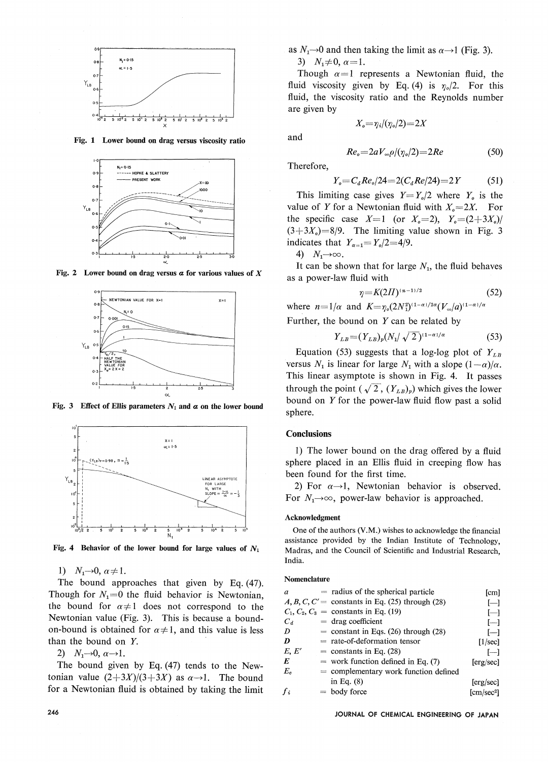

Fig. 1 Lower bound on drag versus viscosity ratio



Fig. 2 Lower bound on drag versus  $\alpha$  for various values of X



Fig. 3 Effect of Ellis parameters  $N_1$  and  $\alpha$  on the lower bound



Fig. 4 Behavior of the lower bound for large values of  $N_1$ 

1)  $N_1 \rightarrow 0$ ,  $\alpha \neq 1$ .

The bound approaches that given by Eq. (47). Though for  $N_1=0$  the fluid behavior is Newtonian, the bound for  $\alpha \neq 1$  does not correspond to the Newtonian value (Fig. 3). This is because a boundon-bound is obtained for  $\alpha \neq 1$ , and this value is less than the bound on Y.

2)  $N_1 \rightarrow 0$ ,  $\alpha \rightarrow 1$ .

The bound given by Eq. (47) tends to the Newtonian value  $(2+3X)/(3+3X)$  as  $\alpha \rightarrow 1$ . The bound for a Newtonian fluid is obtained by taking the limit as  $N_1 \rightarrow 0$  and then taking the limit as  $\alpha \rightarrow 1$  (Fig. 3). 3)  $N_1 \neq 0$ ,  $\alpha = 1$ .

Though  $\alpha = 1$  represents a Newtonian fluid, the fluid viscosity given by Eq. (4) is  $\eta_o/2$ . For this fluid, the viscosity ratio and the Reynolds number are given by

 $X_o = \eta_i/(\eta_o/2) = 2X$ 

and

$$
Re_o = 2aV_{\infty}\rho/(\eta_o/2) = 2Re \tag{50}
$$

Therefore,

$$
Y_o = C_d Re_o/24 = 2(C_d Re/24) = 2Y \tag{51}
$$

This limiting case gives  $Y = Y_o/2$  where  $Y_o$  is the value of Y for a Newtonian fluid with  $X_0 = 2X$ . For the specific case  $X=1$  (or  $X_0=2$ ),  $Y_0=(2+3X_0)/$  $(3+3X_0)=8/9$ . The limiting value shown in Fig. 3 indicates that  $Y_{\alpha=1} = Y_o/2 = 4/9$ .

$$
4) \quad N_1 \rightarrow \infty.
$$

It can be shown that for large  $N_1$ , the fluid behaves as a power-law fluid with

$$
\eta = K(2H)^{(n-1)/2} \tag{52}
$$

where  $n=1/\alpha$  and  $K=\eta_0(2N_1^2)^{(1-\alpha)/2\alpha}(V_{\infty}/a)^{(1-\alpha)/\alpha}$ 

Further, the bound on  $Y$  can be related by

$$
Y_{LB} = (Y_{LB})_p (N_1/\sqrt{2})^{(1-\alpha)/\alpha} \tag{53}
$$

Equation (53) suggests that a log-log plot of  $Y_{LR}$ versus  $N_1$  is linear for large  $N_1$  with a slope  $(1-\alpha)/\alpha$ . This linear asymptote is shown in Fig. 4. It passes through the point  $(\sqrt{2}, (Y_{LB})_p)$  which gives the lower bound on  $Y$  for the power-law fluid flow past a solid sphere.

### **Conclusions**

1) The lower bound on the drag offered by a fluid sphere placed in an Ellis fluid in creeping flow has been found for the first time.

2) For  $\alpha \rightarrow 1$ , Newtonian behavior is observed. For  $N_1 \rightarrow \infty$ , power-law behavior is approached.

#### Acknowledgment

One of the authors (V.M.) wishes to acknowledge the financial assistance provided by the Indian Institute of Technology, Madras, and the Council of Scientific and Industrial Research, India

#### Nomenclature

| a           | = radius of the spherical particle               | [cm]      |
|-------------|--------------------------------------------------|-----------|
|             | A, B, C, C' = constants in Eq. (25) through (28) | $\vdash$  |
|             | $C_1, C_2, C_3 =$ constants in Eq. (19)          | $\vdash$  |
| $C_d$       | $=$ drag coefficient                             | $\Box$    |
| D           | $=$ constant in Eqs. (26) through (28)           | $\vdash$  |
| D           | $=$ rate-of-deformation tensor                   | [1/sec]   |
| E, E'       | $=$ constants in Eq. (28)                        | $[-]$     |
| E           | $=$ work function defined in Eq. (7)             | [erg/sec] |
| $E_c$       | $=$ complementary work function defined          |           |
|             | in Eq. $(8)$                                     | [erg/sec] |
| $f_{\it i}$ | $=$ body force                                   | fcm/sec21 |

JOURNAL OF CHEMICAL ENGINEERING OF JAPAN